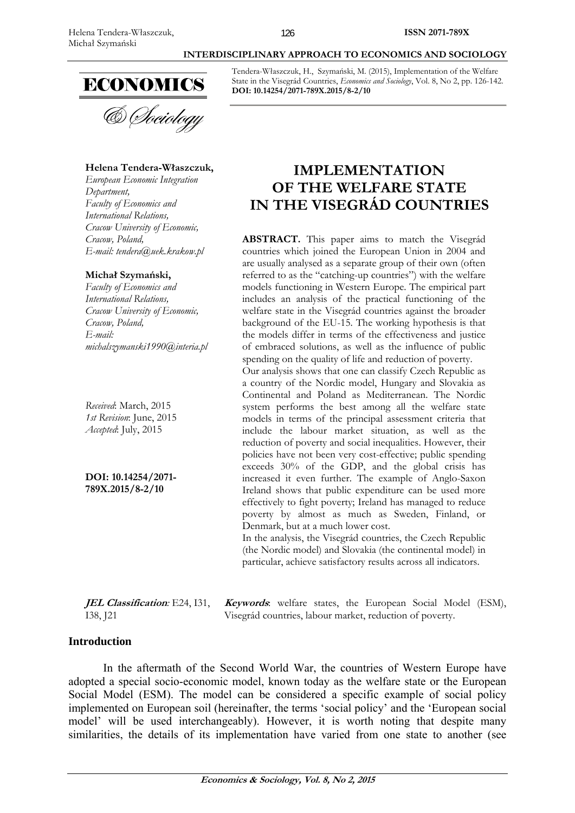

### **Helena Tendera-Właszczuk,**

*European Economic Integration Department, Faculty of Economics and International Relations, Cracow University of Economic, Cracow, Poland, E-mail: tendera@uek.krakow.pl* 

### **Michał Szymański,**

*Faculty of Economics and International Relations, Cracow University of Economic, Cracow, Poland, E-mail: michalszymanski1990@interia.pl* 

*Received*: March, 2015 *1st Revision*: June, 2015 *Accepted*: July, 2015

**DOI: 10.14254/2071- 789X.2015/8-2/10**

**JEL Classification***:* E24, I31, I38, J21

Tendera-Właszczuk, H., Szymański, M. (2015), Implementation of the Welfare State in the Visegrád Countries, *Economics and Sociology*, Vol. 8, No 2, pp. 126-142. **DOI: 10.14254/2071-789X.2015/8-2/10** 

 **INTERDISCIPLINARY APPROACH TO ECONOMICS AND SOCIOLOGY** 

# **IMPLEMENTATION OF THE WELFARE STATE IN THE VISEGRÁD COUNTRIES**

ABSTRACT. This paper aims to match the Visegrád countries which joined the European Union in 2004 and are usually analysed as a separate group of their own (often referred to as the "catching-up countries") with the welfare models functioning in Western Europe. The empirical part includes an analysis of the practical functioning of the welfare state in the Visegrád countries against the broader background of the EU-15. The working hypothesis is that the models differ in terms of the effectiveness and justice of embraced solutions, as well as the influence of public spending on the quality of life and reduction of poverty.

Our analysis shows that one can classify Czech Republic as a country of the Nordic model, Hungary and Slovakia as Continental and Poland as Mediterranean. The Nordic system performs the best among all the welfare state models in terms of the principal assessment criteria that include the labour market situation, as well as the reduction of poverty and social inequalities. However, their policies have not been very cost-effective; public spending exceeds 30% of the GDP, and the global crisis has increased it even further. The example of Anglo-Saxon Ireland shows that public expenditure can be used more effectively to fight poverty; Ireland has managed to reduce poverty by almost as much as Sweden, Finland, or Denmark, but at a much lower cost.

In the analysis, the Visegrád countries, the Czech Republic (the Nordic model) and Slovakia (the continental model) in particular, achieve satisfactory results across all indicators.

**Keywords**: welfare states, the European Social Model (ESM), Visegrád countries, labour market, reduction of poverty.

## **Introduction**

In the aftermath of the Second World War, the countries of Western Europe have adopted a special socio-economic model, known today as the welfare state or the European Social Model (ESM). The model can be considered a specific example of social policy implemented on European soil (hereinafter, the terms 'social policy' and the 'European social model' will be used interchangeably). However, it is worth noting that despite many similarities, the details of its implementation have varied from one state to another (see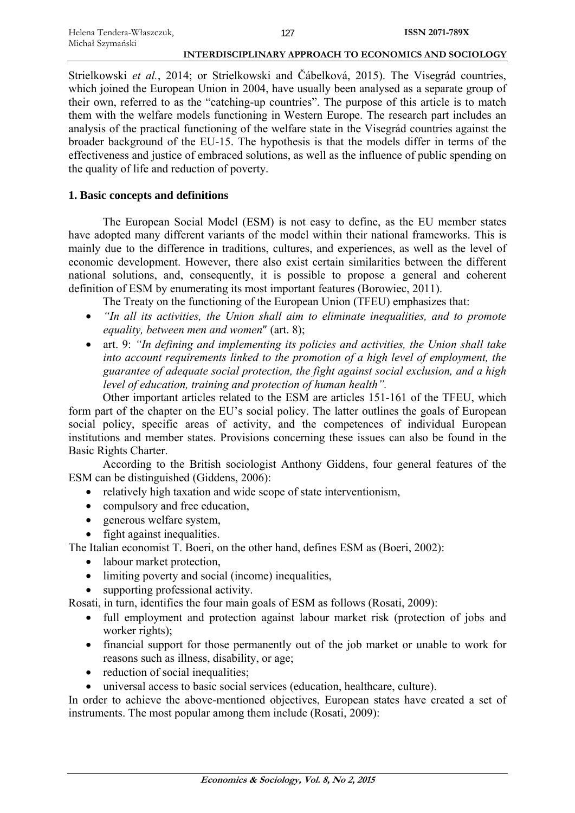Strielkowski *et al.*, 2014; or Strielkowski and Čábelková, 2015). The Visegrád countries, which joined the European Union in 2004, have usually been analysed as a separate group of their own, referred to as the "catching-up countries". The purpose of this article is to match them with the welfare models functioning in Western Europe. The research part includes an analysis of the practical functioning of the welfare state in the Visegrád countries against the broader background of the EU-15. The hypothesis is that the models differ in terms of the effectiveness and justice of embraced solutions, as well as the influence of public spending on the quality of life and reduction of poverty.

# **1. Basic concepts and definitions**

The European Social Model (ESM) is not easy to define, as the EU member states have adopted many different variants of the model within their national frameworks. This is mainly due to the difference in traditions, cultures, and experiences, as well as the level of economic development. However, there also exist certain similarities between the different national solutions, and, consequently, it is possible to propose a general and coherent definition of ESM by enumerating its most important features (Borowiec, 2011).

The Treaty on the functioning of the European Union (TFEU) emphasizes that:

- *"In all its activities, the Union shall aim to eliminate inequalities, and to promote equality, between men and women*" (art. 8);
- art. 9: *"In defining and implementing its policies and activities, the Union shall take into account requirements linked to the promotion of a high level of employment, the guarantee of adequate social protection, the fight against social exclusion, and a high level of education, training and protection of human health".*

Other important articles related to the ESM are articles 151-161 of the TFEU, which form part of the chapter on the EU's social policy. The latter outlines the goals of European social policy, specific areas of activity, and the competences of individual European institutions and member states. Provisions concerning these issues can also be found in the Basic Rights Charter.

According to the British sociologist Anthony Giddens, four general features of the ESM can be distinguished (Giddens, 2006):

- relatively high taxation and wide scope of state interventionism.
- compulsory and free education,
- generous welfare system,
- fight against inequalities.

The Italian economist T. Boeri, on the other hand, defines ESM as (Boeri, 2002):

- labour market protection,
- limiting poverty and social (income) inequalities,
- supporting professional activity.

Rosati, in turn, identifies the four main goals of ESM as follows (Rosati, 2009):

- full employment and protection against labour market risk (protection of jobs and worker rights);
- financial support for those permanently out of the job market or unable to work for reasons such as illness, disability, or age;
- reduction of social inequalities;
- universal access to basic social services (education, healthcare, culture).

In order to achieve the above-mentioned objectives, European states have created a set of instruments. The most popular among them include (Rosati, 2009):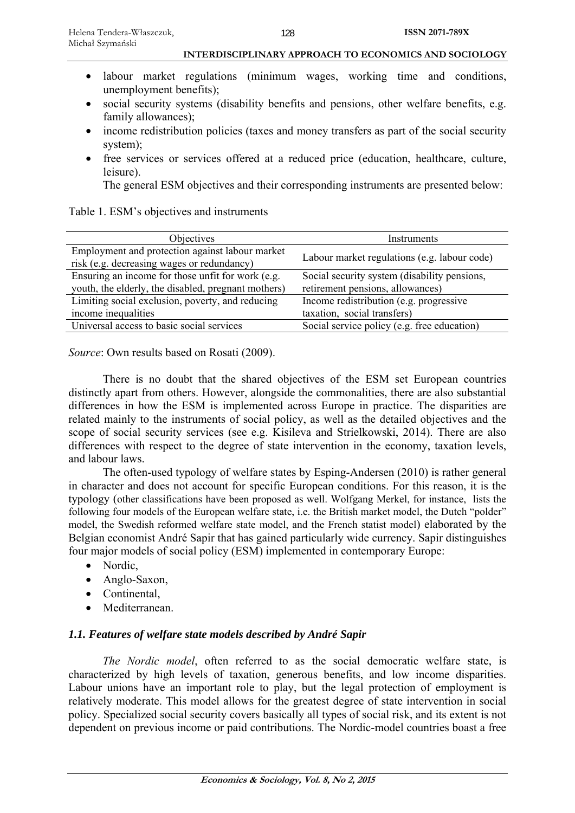- labour market regulations (minimum wages, working time and conditions, unemployment benefits);
- social security systems (disability benefits and pensions, other welfare benefits, e.g. family allowances);
- income redistribution policies (taxes and money transfers as part of the social security system);
- free services or services offered at a reduced price (education, healthcare, culture, leisure).

The general ESM objectives and their corresponding instruments are presented below:

| Table 1. ESM's objectives and instruments |  |
|-------------------------------------------|--|
|-------------------------------------------|--|

| <b>Objectives</b>                                   | Instruments                                  |  |
|-----------------------------------------------------|----------------------------------------------|--|
| Employment and protection against labour market     |                                              |  |
| risk (e.g. decreasing wages or redundancy)          | Labour market regulations (e.g. labour code) |  |
| Ensuring an income for those unfit for work (e.g.   | Social security system (disability pensions, |  |
| youth, the elderly, the disabled, pregnant mothers) | retirement pensions, allowances)             |  |
| Limiting social exclusion, poverty, and reducing    | Income redistribution (e.g. progressive)     |  |
| income inequalities                                 | taxation, social transfers)                  |  |
| Universal access to basic social services           | Social service policy (e.g. free education)  |  |
|                                                     |                                              |  |

*Source*: Own results based on Rosati (2009).

There is no doubt that the shared objectives of the ESM set European countries distinctly apart from others. However, alongside the commonalities, there are also substantial differences in how the ESM is implemented across Europe in practice. The disparities are related mainly to the instruments of social policy, as well as the detailed objectives and the scope of social security services (see e.g. Kisileva and Strielkowski, 2014). There are also differences with respect to the degree of state intervention in the economy, taxation levels, and labour laws.

The often-used typology of welfare states by Esping-Andersen (2010) is rather general in character and does not account for specific European conditions. For this reason, it is the typology (other classifications have been proposed as well. Wolfgang Merkel, for instance, lists the following four models of the European welfare state, i.e. the British market model, the Dutch "polder" model, the Swedish reformed welfare state model, and the French statist model) elaborated by the Belgian economist André Sapir that has gained particularly wide currency. Sapir distinguishes four major models of social policy (ESM) implemented in contemporary Europe:

- Nordic,
- Anglo-Saxon,
- Continental,
- Mediterranean.

## *1.1. Features of welfare state models described by André Sapir*

*The Nordic model*, often referred to as the social democratic welfare state, is characterized by high levels of taxation, generous benefits, and low income disparities. Labour unions have an important role to play, but the legal protection of employment is relatively moderate. This model allows for the greatest degree of state intervention in social policy. Specialized social security covers basically all types of social risk, and its extent is not dependent on previous income or paid contributions. The Nordic-model countries boast a free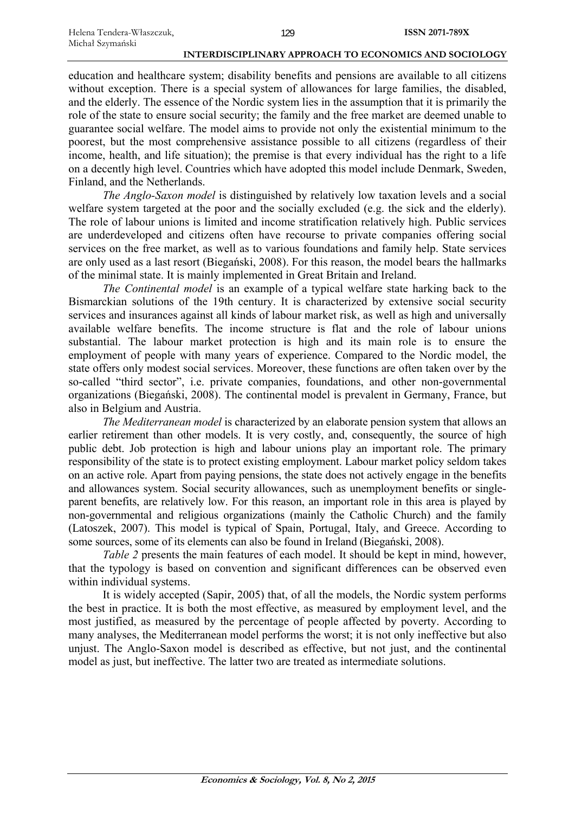education and healthcare system; disability benefits and pensions are available to all citizens without exception. There is a special system of allowances for large families, the disabled, and the elderly. The essence of the Nordic system lies in the assumption that it is primarily the role of the state to ensure social security; the family and the free market are deemed unable to guarantee social welfare. The model aims to provide not only the existential minimum to the poorest, but the most comprehensive assistance possible to all citizens (regardless of their income, health, and life situation); the premise is that every individual has the right to a life on a decently high level. Countries which have adopted this model include Denmark, Sweden, Finland, and the Netherlands.

*The Anglo-Saxon model* is distinguished by relatively low taxation levels and a social welfare system targeted at the poor and the socially excluded (e.g. the sick and the elderly). The role of labour unions is limited and income stratification relatively high. Public services are underdeveloped and citizens often have recourse to private companies offering social services on the free market, as well as to various foundations and family help. State services are only used as a last resort (Biegański, 2008). For this reason, the model bears the hallmarks of the minimal state. It is mainly implemented in Great Britain and Ireland.

*The Continental model* is an example of a typical welfare state harking back to the Bismarckian solutions of the 19th century. It is characterized by extensive social security services and insurances against all kinds of labour market risk, as well as high and universally available welfare benefits. The income structure is flat and the role of labour unions substantial. The labour market protection is high and its main role is to ensure the employment of people with many years of experience. Compared to the Nordic model, the state offers only modest social services. Moreover, these functions are often taken over by the so-called "third sector", i.e. private companies, foundations, and other non-governmental organizations (Biegański, 2008). The continental model is prevalent in Germany, France, but also in Belgium and Austria.

*The Mediterranean model* is characterized by an elaborate pension system that allows an earlier retirement than other models. It is very costly, and, consequently, the source of high public debt. Job protection is high and labour unions play an important role. The primary responsibility of the state is to protect existing employment. Labour market policy seldom takes on an active role. Apart from paying pensions, the state does not actively engage in the benefits and allowances system. Social security allowances, such as unemployment benefits or singleparent benefits, are relatively low. For this reason, an important role in this area is played by non-governmental and religious organizations (mainly the Catholic Church) and the family (Latoszek, 2007). This model is typical of Spain, Portugal, Italy, and Greece. According to some sources, some of its elements can also be found in Ireland (Biegański, 2008).

*Table 2* presents the main features of each model. It should be kept in mind, however, that the typology is based on convention and significant differences can be observed even within individual systems.

It is widely accepted (Sapir, 2005) that, of all the models, the Nordic system performs the best in practice. It is both the most effective, as measured by employment level, and the most justified, as measured by the percentage of people affected by poverty. According to many analyses, the Mediterranean model performs the worst; it is not only ineffective but also unjust. The Anglo-Saxon model is described as effective, but not just, and the continental model as just, but ineffective. The latter two are treated as intermediate solutions.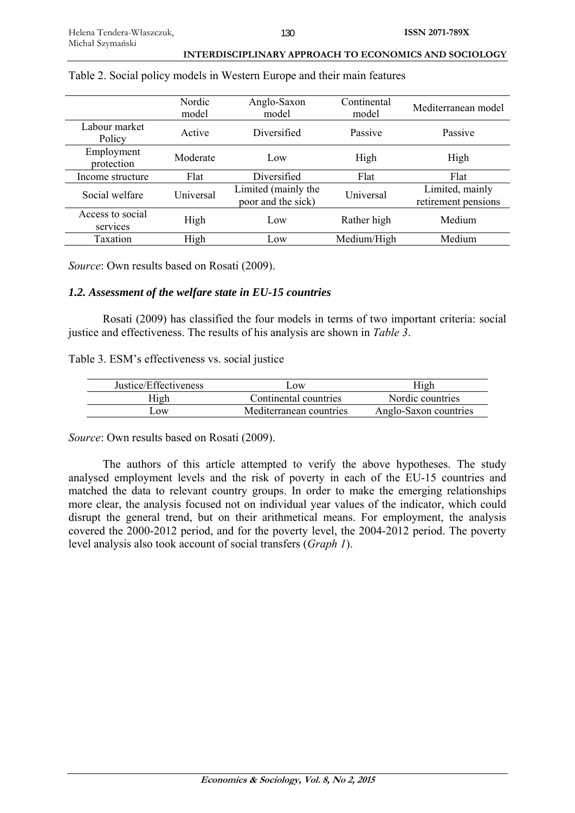|                              | Nordic<br>Anglo-Saxon<br>model                                |                 | Continental<br>model | Mediterranean model                    |
|------------------------------|---------------------------------------------------------------|-----------------|----------------------|----------------------------------------|
| Labour market<br>Policy      | Active                                                        | Diversified     | Passive              | Passive                                |
| Employment<br>protection     | Moderate                                                      | Low             | High                 | High                                   |
| Income structure             | Flat                                                          | Diversified     | Flat                 | Flat                                   |
| Social welfare               | Limited (mainly the<br><b>Universal</b><br>poor and the sick) |                 | Universal            | Limited, mainly<br>retirement pensions |
| Access to social<br>services | High                                                          | Low             | Rather high          | Medium                                 |
| Taxation                     | High                                                          | L <sub>ow</sub> | Medium/High          | Medium                                 |

### Table 2. Social policy models in Western Europe and their main features

*Source*: Own results based on Rosati (2009).

## *1.2. Assessment of the welfare state in EU-15 countries*

Rosati (2009) has classified the four models in terms of two important criteria: social justice and effectiveness. The results of his analysis are shown in *Table 3*.

## Table 3. ESM's effectiveness vs. social justice

| Justice/Effectiveness | .0W                     | High                  |
|-----------------------|-------------------------|-----------------------|
| High                  | Continental countries   | Nordic countries      |
| $\Omega$ W            | Mediterranean countries | Anglo-Saxon countries |

*Source*: Own results based on Rosati (2009).

The authors of this article attempted to verify the above hypotheses. The study analysed employment levels and the risk of poverty in each of the EU-15 countries and matched the data to relevant country groups. In order to make the emerging relationships more clear, the analysis focused not on individual year values of the indicator, which could disrupt the general trend, but on their arithmetical means. For employment, the analysis covered the 2000-2012 period, and for the poverty level, the 2004-2012 period. The poverty level analysis also took account of social transfers (*Graph 1*).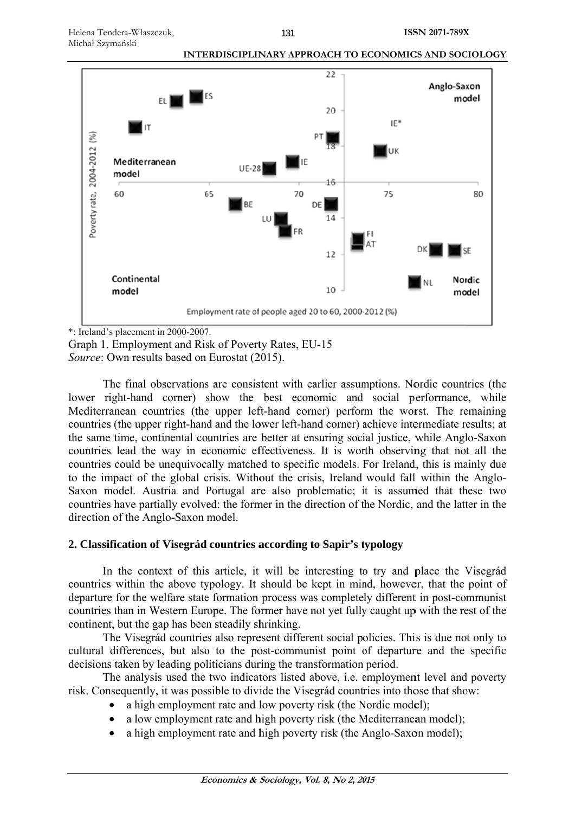

\*: Ireland's placement in 2000-2007.

Graph 1. Employment and Risk of Poverty Rates, EU-15 Source: Own results based on Eurostat (2015).

The final observations are consistent with earlier assumptions. Nordic countries (the lower right-hand corner) show the best economic and social performance, while Mediterranean countries (the upper left-hand corner) perform the worst. The remaining countries (the upper right-hand and the lower left-hand corner) achieve intermediate results; at the same time, continental countries are better at ensuring social justice, while Anglo-Saxon countries lead the way in economic effectiveness. It is worth observing that not all the countries could be unequivocally matched to specific models. For Ireland, this is mainly due to the impact of the global crisis. Without the crisis, Ireland would fall within the Anglo-Saxon model. Austria and Portugal are also problematic; it is assumed that these two countries have partially evolved: the former in the direction of the Nordic, and the latter in the direction of the Anglo-Saxon model.

# 2. Classification of Visegrád countries according to Sapir's typology

In the context of this article, it will be interesting to try and place the Visegrad countries within the above typology. It should be kept in mind, however, that the point of departure for the welfare state formation process was completely different in post-communist countries than in Western Europe. The former have not yet fully caught up with the rest of the continent, but the gap has been steadily shrinking.

The Visegrád countries also represent different social policies. This is due not only to cultural differences, but also to the post-communist point of departure and the specific decisions taken by leading politicians during the transformation period.

The analysis used the two indicators listed above, *i.e.* employment level and poverty risk. Consequently, it was possible to divide the Visegrád countries into those that show:

- a high employment rate and low poverty risk (the Nordic model);
- a low employment rate and high poverty risk (the Mediterranean model);
- a high employment rate and high poverty risk (the Anglo-Saxon model);  $\bullet$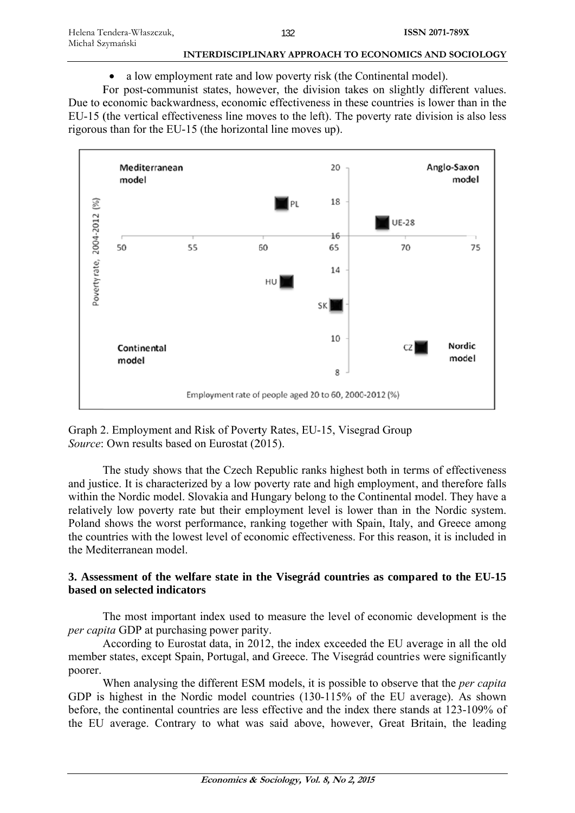a low employment rate and low poverty risk (the Continental model).  $\bullet$ 

For post-communist states, however, the division takes on slightly different values. Due to economic backwardness, economic effectiveness in these countries is lower than in the EU-15 (the vertical effectiveness line moves to the left). The poverty rate division is also less rigorous than for the EU-15 (the horizontal line moves up).



Graph 2. Employment and Risk of Poverty Rates, EU-15, Visegrad Group Source: Own results based on Eurostat (2015).

The study shows that the Czech Republic ranks highest both in terms of effectiveness and justice. It is characterized by a low poverty rate and high employment, and therefore falls within the Nordic model. Slovakia and Hungary belong to the Continental model. They have a relatively low poverty rate but their employment level is lower than in the Nordic system. Poland shows the worst performance, ranking together with Spain, Italy, and Greece among the countries with the lowest level of economic effectiveness. For this reason, it is included in the Mediterranean model.

# 3. Assessment of the welfare state in the Visegrád countries as compared to the EU-15 based on selected indicators

The most important index used to measure the level of economic development is the *per capita* GDP at purchasing power parity.

According to Eurostat data, in 2012, the index exceeded the EU average in all the old member states, except Spain, Portugal, and Greece. The Visegrád countries were significantly poorer.

When analysing the different ESM models, it is possible to observe that the *per capita* GDP is highest in the Nordic model countries (130-115% of the EU average). As shown before, the continental countries are less effective and the index there stands at 123-109% of the EU average. Contrary to what was said above, however, Great Britain, the leading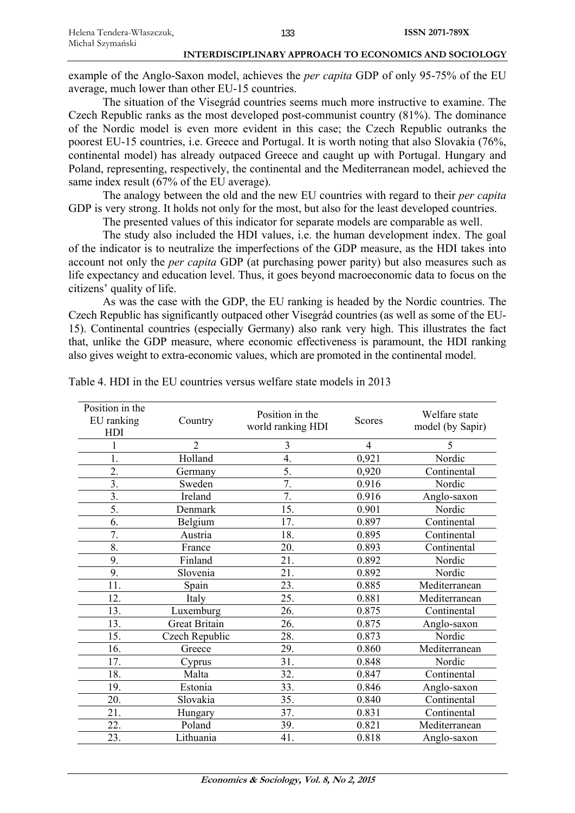example of the Anglo-Saxon model, achieves the *per capita* GDP of only 95-75% of the EU average, much lower than other EU-15 countries.

The situation of the Visegrád countries seems much more instructive to examine. The Czech Republic ranks as the most developed post-communist country (81%). The dominance of the Nordic model is even more evident in this case; the Czech Republic outranks the poorest EU-15 countries, i.e. Greece and Portugal. It is worth noting that also Slovakia (76%, continental model) has already outpaced Greece and caught up with Portugal. Hungary and Poland, representing, respectively, the continental and the Mediterranean model, achieved the same index result (67% of the EU average).

The analogy between the old and the new EU countries with regard to their *per capita*  GDP is very strong. It holds not only for the most, but also for the least developed countries.

The presented values of this indicator for separate models are comparable as well.

The study also included the HDI values, i.e. the human development index. The goal of the indicator is to neutralize the imperfections of the GDP measure, as the HDI takes into account not only the *per capita* GDP (at purchasing power parity) but also measures such as life expectancy and education level. Thus, it goes beyond macroeconomic data to focus on the citizens' quality of life.

As was the case with the GDP, the EU ranking is headed by the Nordic countries. The Czech Republic has significantly outpaced other Visegrád countries (as well as some of the EU-15). Continental countries (especially Germany) also rank very high. This illustrates the fact that, unlike the GDP measure, where economic effectiveness is paramount, the HDI ranking also gives weight to extra-economic values, which are promoted in the continental model.

| Position in the<br>EU ranking<br><b>HDI</b> | Country              | Position in the<br>world ranking HDI | Scores | Welfare state<br>model (by Sapir) |
|---------------------------------------------|----------------------|--------------------------------------|--------|-----------------------------------|
| 1                                           | $\overline{2}$       | 3                                    | 4      | 5                                 |
| 1.                                          | Holland              | $\overline{4}$ .                     | 0,921  | Nordic                            |
| 2.                                          | Germany              | 5.                                   | 0,920  | Continental                       |
| 3.                                          | Sweden               | 7.                                   | 0.916  | Nordic                            |
| 3.                                          | Ireland              | 7.                                   | 0.916  | Anglo-saxon                       |
| 5.                                          | Denmark              | 15.                                  | 0.901  | Nordic                            |
| 6.                                          | Belgium              | 17.                                  | 0.897  | Continental                       |
| 7.                                          | Austria              | 18.                                  | 0.895  | Continental                       |
| 8.                                          | France               | 20.                                  | 0.893  | Continental                       |
| 9.                                          | Finland              | 21.                                  | 0.892  | Nordic                            |
| 9.                                          | Slovenia             | 21.                                  | 0.892  | Nordic                            |
| 11.                                         | Spain                | 23.                                  | 0.885  | Mediterranean                     |
| 12.                                         | Italy                | 25.                                  | 0.881  | Mediterranean                     |
| 13.                                         | Luxemburg            | 26.                                  | 0.875  | Continental                       |
| 13.                                         | <b>Great Britain</b> | 26.                                  | 0.875  | Anglo-saxon                       |
| 15.                                         | Czech Republic       | 28.                                  | 0.873  | Nordic                            |
| 16.                                         | Greece               | 29.                                  | 0.860  | Mediterranean                     |
| 17.                                         | Cyprus               | 31.                                  | 0.848  | Nordic                            |
| 18.                                         | Malta                | 32.                                  | 0.847  | Continental                       |
| 19.                                         | Estonia              | 33.                                  | 0.846  | Anglo-saxon                       |
| 20.                                         | Slovakia             | 35.                                  | 0.840  | Continental                       |
| 21.                                         | Hungary              | 37.                                  | 0.831  | Continental                       |
| 22.                                         | Poland               | 39.                                  | 0.821  | Mediterranean                     |
| 23.                                         | Lithuania            | 41.                                  | 0.818  | Anglo-saxon                       |

Table 4. HDI in the EU countries versus welfare state models in 2013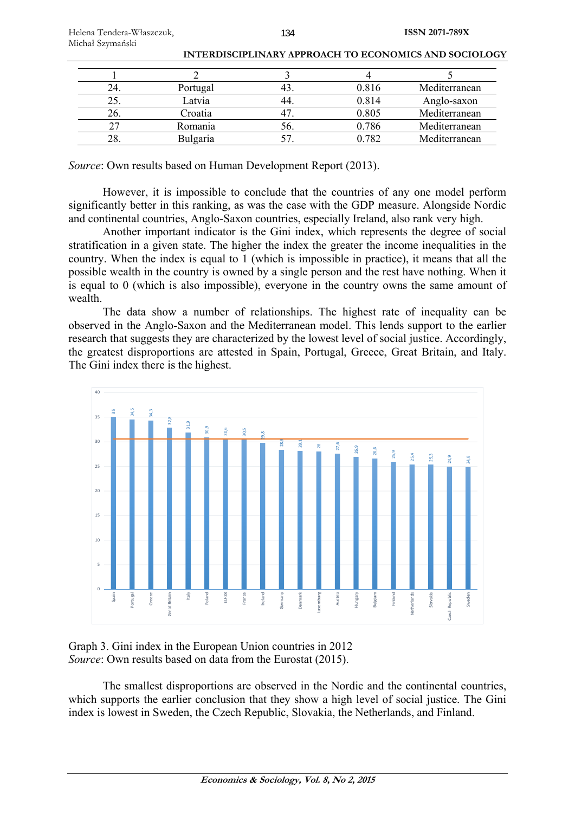| 24. | Portugal        |     | 0.816 | Mediterranean |
|-----|-----------------|-----|-------|---------------|
| 25. | Latvia          |     | 0.814 | Anglo-saxon   |
| 26. | Croatia         |     | 0.805 | Mediterranean |
| 27  | Romania         | OC. | 0.786 | Mediterranean |
| 28. | <b>Bulgaria</b> |     | 0.782 | Mediterranean |

*Source*: Own results based on Human Development Report (2013).

However, it is impossible to conclude that the countries of any one model perform significantly better in this ranking, as was the case with the GDP measure. Alongside Nordic and continental countries, Anglo-Saxon countries, especially Ireland, also rank very high.

Another important indicator is the Gini index, which represents the degree of social stratification in a given state. The higher the index the greater the income inequalities in the country. When the index is equal to 1 (which is impossible in practice), it means that all the possible wealth in the country is owned by a single person and the rest have nothing. When it is equal to 0 (which is also impossible), everyone in the country owns the same amount of wealth.

The data show a number of relationships. The highest rate of inequality can be observed in the Anglo-Saxon and the Mediterranean model. This lends support to the earlier research that suggests they are characterized by the lowest level of social justice. Accordingly, the greatest disproportions are attested in Spain, Portugal, Greece, Great Britain, and Italy. The Gini index there is the highest.



Graph 3. Gini index in the European Union countries in 2012 *Source*: Own results based on data from the Eurostat (2015).

The smallest disproportions are observed in the Nordic and the continental countries, which supports the earlier conclusion that they show a high level of social justice. The Gini index is lowest in Sweden, the Czech Republic, Slovakia, the Netherlands, and Finland.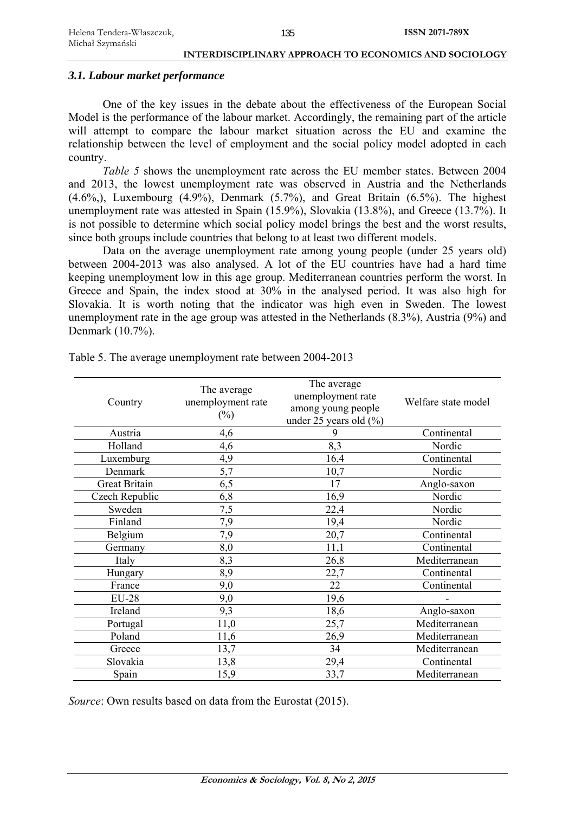# *3.1. Labour market performance*

One of the key issues in the debate about the effectiveness of the European Social Model is the performance of the labour market. Accordingly, the remaining part of the article will attempt to compare the labour market situation across the EU and examine the relationship between the level of employment and the social policy model adopted in each country.

*Table 5* shows the unemployment rate across the EU member states. Between 2004 and 2013, the lowest unemployment rate was observed in Austria and the Netherlands  $(4.6\%)$ , Luxembourg  $(4.9\%)$ , Denmark  $(5.7\%)$ , and Great Britain  $(6.5\%)$ . The highest unemployment rate was attested in Spain (15.9%), Slovakia (13.8%), and Greece (13.7%). It is not possible to determine which social policy model brings the best and the worst results, since both groups include countries that belong to at least two different models.

Data on the average unemployment rate among young people (under 25 years old) between 2004-2013 was also analysed. A lot of the EU countries have had a hard time keeping unemployment low in this age group. Mediterranean countries perform the worst. In Greece and Spain, the index stood at 30% in the analysed period. It was also high for Slovakia. It is worth noting that the indicator was high even in Sweden. The lowest unemployment rate in the age group was attested in the Netherlands (8.3%), Austria (9%) and Denmark (10.7%).

| Country              | The average<br>unemployment rate<br>$(\%)$ | The average<br>unemployment rate<br>among young people<br>under 25 years old (%) | Welfare state model |
|----------------------|--------------------------------------------|----------------------------------------------------------------------------------|---------------------|
| Austria              | 4,6                                        | 9                                                                                | Continental         |
| Holland              | 4,6                                        | 8,3                                                                              | Nordic              |
| Luxemburg            | 4,9                                        | 16,4                                                                             | Continental         |
| Denmark              | 5,7                                        | 10,7                                                                             | Nordic              |
| <b>Great Britain</b> | 6,5                                        | 17                                                                               | Anglo-saxon         |
| Czech Republic       | 6,8                                        | 16,9                                                                             | Nordic              |
| Sweden               | 7,5                                        | 22,4                                                                             | Nordic              |
| Finland              | 7,9                                        | 19,4                                                                             | Nordic              |
| Belgium              | 7,9                                        | 20,7                                                                             | Continental         |
| Germany              | 8,0                                        | 11,1                                                                             | Continental         |
| Italy                | 8,3                                        | 26,8                                                                             | Mediterranean       |
| Hungary              | 8,9                                        | 22,7                                                                             | Continental         |
| France               | 9,0                                        | 22                                                                               | Continental         |
| <b>EU-28</b>         | 9,0                                        | 19,6                                                                             |                     |
| Ireland              | 9,3                                        | 18,6                                                                             | Anglo-saxon         |
| Portugal             | 11,0                                       | 25,7                                                                             | Mediterranean       |
| Poland               | 11,6                                       | 26,9                                                                             | Mediterranean       |
| Greece               | 13,7                                       | 34                                                                               | Mediterranean       |
| Slovakia             | 13,8                                       | 29,4                                                                             | Continental         |
| Spain                | 15,9                                       | 33,7                                                                             | Mediterranean       |

Table 5. The average unemployment rate between 2004-2013

*Source*: Own results based on data from the Eurostat (2015).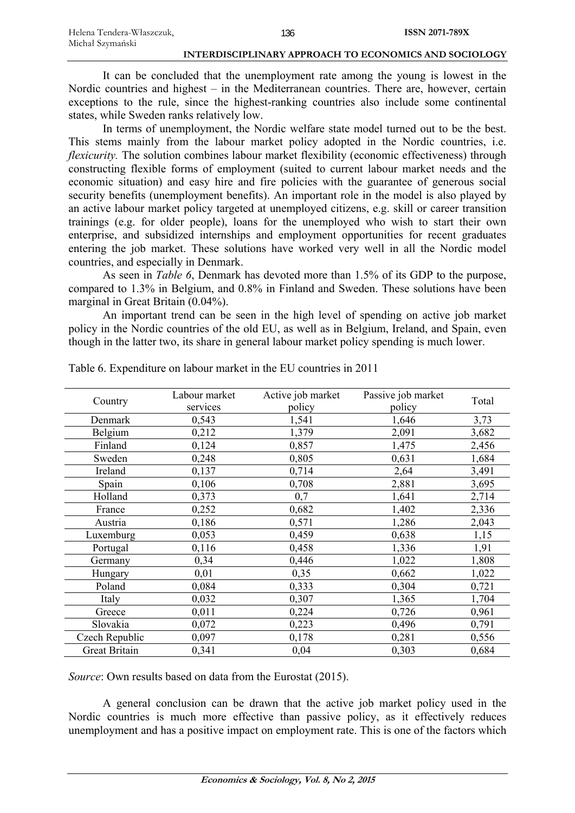It can be concluded that the unemployment rate among the young is lowest in the Nordic countries and highest – in the Mediterranean countries. There are, however, certain exceptions to the rule, since the highest-ranking countries also include some continental states, while Sweden ranks relatively low.

In terms of unemployment, the Nordic welfare state model turned out to be the best. This stems mainly from the labour market policy adopted in the Nordic countries, i.e. *flexicurity*. The solution combines labour market flexibility (economic effectiveness) through constructing flexible forms of employment (suited to current labour market needs and the economic situation) and easy hire and fire policies with the guarantee of generous social security benefits (unemployment benefits). An important role in the model is also played by an active labour market policy targeted at unemployed citizens, e.g. skill or career transition trainings (e.g. for older people), loans for the unemployed who wish to start their own enterprise, and subsidized internships and employment opportunities for recent graduates entering the job market. These solutions have worked very well in all the Nordic model countries, and especially in Denmark.

As seen in *Table 6*, Denmark has devoted more than 1.5% of its GDP to the purpose, compared to 1.3% in Belgium, and 0.8% in Finland and Sweden. These solutions have been marginal in Great Britain (0.04%).

An important trend can be seen in the high level of spending on active job market policy in the Nordic countries of the old EU, as well as in Belgium, Ireland, and Spain, even though in the latter two, its share in general labour market policy spending is much lower.

| Country        | Labour market<br>services | Active job market<br>policy | Passive job market<br>policy | Total |
|----------------|---------------------------|-----------------------------|------------------------------|-------|
| Denmark        | 0,543                     | 1,541                       | 1,646                        | 3,73  |
| Belgium        | 0,212                     | 1,379                       | 2,091                        | 3,682 |
| Finland        | 0,124                     | 0,857                       | 1,475                        | 2,456 |
| Sweden         | 0,248                     | 0,805                       | 0,631                        | 1,684 |
| Ireland        | 0,137                     | 0,714                       | 2,64                         | 3,491 |
| Spain          | 0,106                     | 0,708                       | 2,881                        | 3,695 |
| Holland        | 0,373                     | 0,7                         | 1,641                        | 2,714 |
| France         | 0,252                     | 0,682                       | 1,402                        | 2,336 |
| Austria        | 0,186                     | 0,571                       | 1,286                        | 2,043 |
| Luxemburg      | 0,053                     | 0,459                       | 0,638                        | 1,15  |
| Portugal       | 0,116                     | 0,458                       | 1,336                        | 1,91  |
| Germany        | 0,34                      | 0,446                       | 1,022                        | 1,808 |
| Hungary        | 0,01                      | 0,35                        | 0,662                        | 1,022 |
| Poland         | 0,084                     | 0,333                       | 0,304                        | 0,721 |
| Italy          | 0,032                     | 0,307                       | 1,365                        | 1,704 |
| Greece         | 0,011                     | 0,224                       | 0,726                        | 0,961 |
| Slovakia       | 0,072                     | 0,223                       | 0,496                        | 0,791 |
| Czech Republic | 0,097                     | 0,178                       | 0,281                        | 0,556 |
| Great Britain  | 0,341                     | 0,04                        | 0,303                        | 0,684 |

Table 6. Expenditure on labour market in the EU countries in 2011

*Source*: Own results based on data from the Eurostat (2015).

A general conclusion can be drawn that the active job market policy used in the Nordic countries is much more effective than passive policy, as it effectively reduces unemployment and has a positive impact on employment rate. This is one of the factors which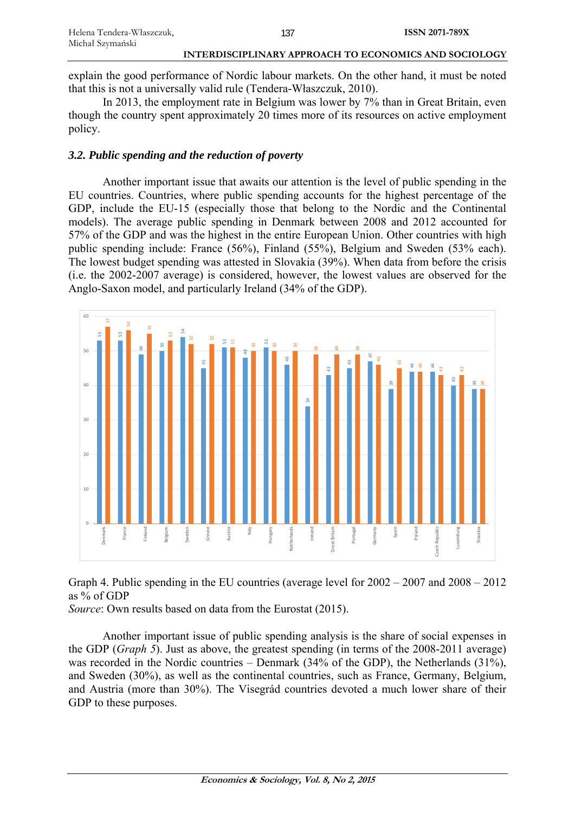explain the good performance of Nordic labour markets. On the other hand, it must be noted that this is not a universally valid rule (Tendera-Właszczuk, 2010).

In 2013, the employment rate in Belgium was lower by 7% than in Great Britain, even though the country spent approximately 20 times more of its resources on active employment policy.

# *3.2. Public spending and the reduction of poverty*

Another important issue that awaits our attention is the level of public spending in the EU countries. Countries, where public spending accounts for the highest percentage of the GDP, include the EU-15 (especially those that belong to the Nordic and the Continental models). The average public spending in Denmark between 2008 and 2012 accounted for 57% of the GDP and was the highest in the entire European Union. Other countries with high public spending include: France (56%), Finland (55%), Belgium and Sweden (53% each). The lowest budget spending was attested in Slovakia (39%). When data from before the crisis (i.e. the 2002-2007 average) is considered, however, the lowest values are observed for the Anglo-Saxon model, and particularly Ireland (34% of the GDP).



Graph 4. Public spending in the EU countries (average level for 2002 – 2007 and 2008 – 2012 as % of GDP

*Source*: Own results based on data from the Eurostat (2015).

Another important issue of public spending analysis is the share of social expenses in the GDP (*Graph 5*). Just as above, the greatest spending (in terms of the 2008-2011 average) was recorded in the Nordic countries – Denmark (34% of the GDP), the Netherlands (31%), and Sweden (30%), as well as the continental countries, such as France, Germany, Belgium, and Austria (more than 30%). The Visegrád countries devoted a much lower share of their GDP to these purposes.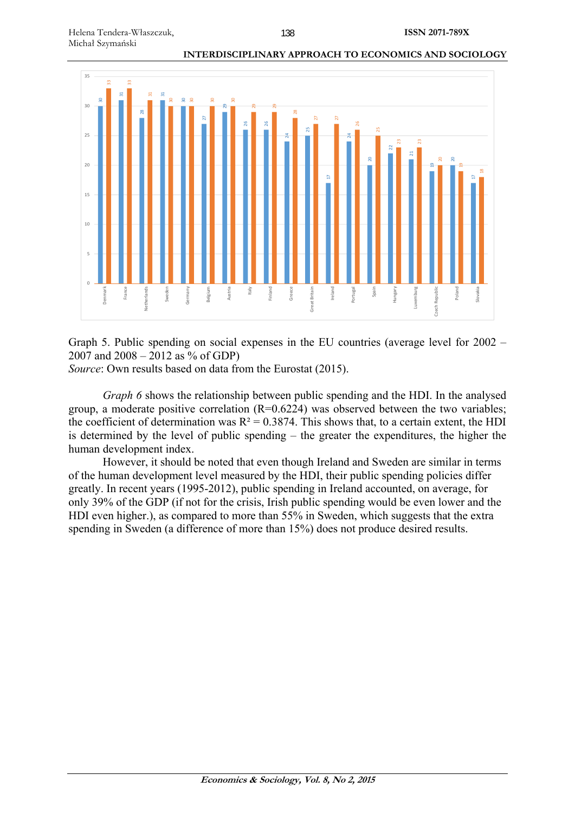

Graph 5. Public spending on social expenses in the EU countries (average level for 2002 – 2007 and 2008 – 2012 as % of GDP)

*Source*: Own results based on data from the Eurostat (2015).

*Graph 6* shows the relationship between public spending and the HDI. In the analysed group, a moderate positive correlation  $(R=0.6224)$  was observed between the two variables; the coefficient of determination was  $R^2 = 0.3874$ . This shows that, to a certain extent, the HDI is determined by the level of public spending – the greater the expenditures, the higher the human development index.

However, it should be noted that even though Ireland and Sweden are similar in terms of the human development level measured by the HDI, their public spending policies differ greatly. In recent years (1995-2012), public spending in Ireland accounted, on average, for only 39% of the GDP (if not for the crisis, Irish public spending would be even lower and the HDI even higher.), as compared to more than 55% in Sweden, which suggests that the extra spending in Sweden (a difference of more than 15%) does not produce desired results.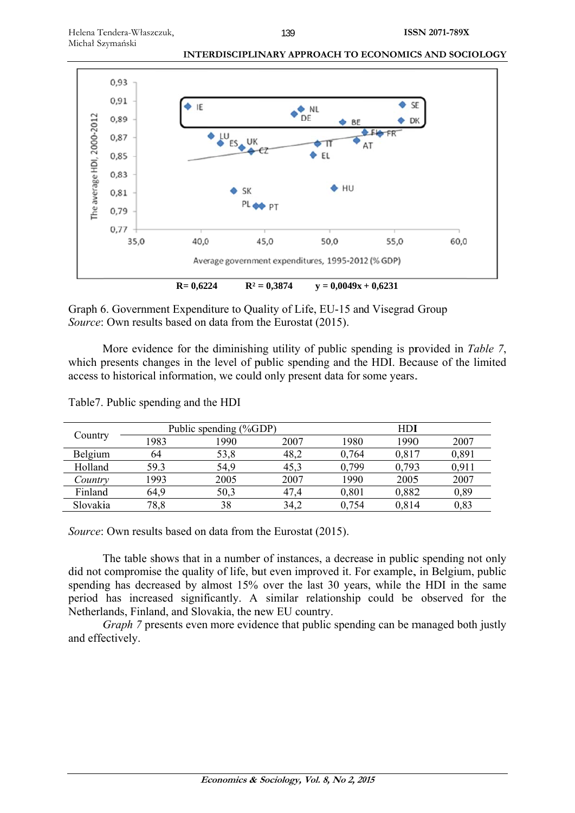

Graph 6. Government Expenditure to Quality of Life, EU-15 and Visegrad Group Source: Own results based on data from the Eurostat (2015).

More evidence for the diminishing utility of public spending is provided in Table 7, which presents changes in the level of public spending and the HDI. Because of the limited access to historical information, we could only present data for some years.

|          | Public spending (%GDP) |      |      | HDI   |       |       |
|----------|------------------------|------|------|-------|-------|-------|
| Country  | 1983                   | 1990 | 2007 | 1980  | 1990  | 2007  |
| Belgium  | 64                     | 53,8 | 48,2 | 0.764 | 0,817 | 0,891 |
| Holland  | 59.3                   | 54,9 | 45,3 | 0.799 | 0.793 | 0.911 |
| Country  | 1993                   | 2005 | 2007 | 1990  | 2005  | 2007  |
| Finland  | 64.9                   | 50,3 | 47,4 | 0,801 | 0.882 | 0,89  |
| Slovakia | 78,8                   | 38   | 34,2 | 0,754 | 0.814 | 0.83  |

Table7. Public spending and the HDI

Source: Own results based on data from the Eurostat (2015).

The table shows that in a number of instances, a decrease in public spending not only did not compromise the quality of life, but even improved it. For example, in Belgium, public spending has decreased by almost 15% over the last 30 years, while the HDI in the same period has increased significantly. A similar relationship could be observed for the Netherlands, Finland, and Slovakia, the new EU country.

*Graph* 7 presents even more evidence that public spending can be managed both justly and effectively.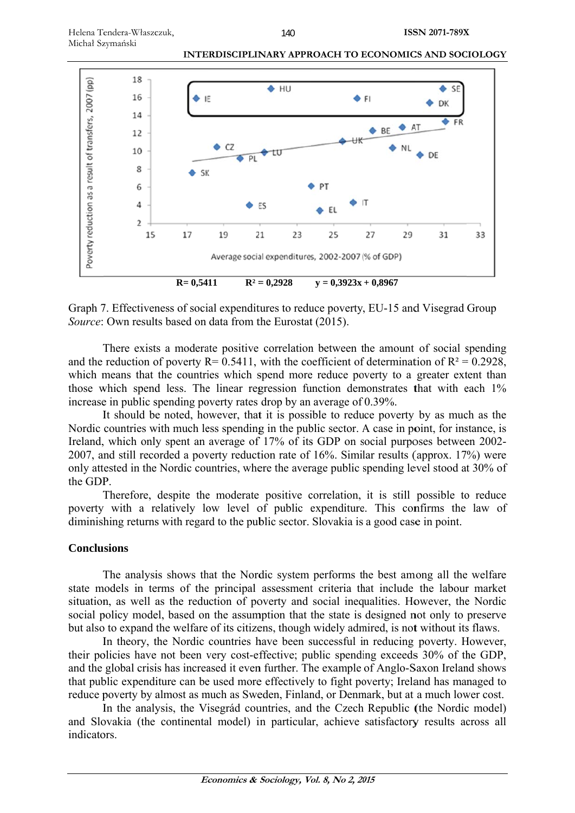

Graph 7. Effectiveness of social expenditures to reduce poverty, EU-15 and Visegrad Group Source: Own results based on data from the Eurostat (2015).

There exists a moderate positive correlation between the amount of social spending and the reduction of poverty R= 0.5411, with the coefficient of determination of R<sup>2</sup> = 0.2928, which means that the countries which spend more reduce poverty to a greater extent than those which spend less. The linear regression function demonstrates that with each 1% increase in public spending poverty rates drop by an average of 0.39%.

It should be noted, however, that it is possible to reduce poverty by as much as the Nordic countries with much less spending in the public sector. A case in point, for instance, is Ireland, which only spent an average of 17% of its GDP on social purposes between 2002-2007, and still recorded a poverty reduction rate of 16%. Similar results (approx. 17%) were only attested in the Nordic countries, where the average public spending level stood at 30% of the GDP.

Therefore, despite the moderate positive correlation, it is still possible to reduce poverty with a relatively low level of public expenditure. This confirms the law of diminishing returns with regard to the public sector. Slovakia is a good case in point.

# **Conclusions**

The analysis shows that the Nordic system performs the best among all the welfare state models in terms of the principal assessment criteria that include the labour market situation, as well as the reduction of poverty and social inequalities. However, the Nordic social policy model, based on the assumption that the state is designed not only to preserve but also to expand the welfare of its citizens, though widely admired, is not without its flaws.

In theory, the Nordic countries have been successful in reducing poverty. However, their policies have not been very cost-effective; public spending exceeds 30% of the GDP, and the global crisis has increased it even further. The example of Anglo-Saxon Ireland shows that public expenditure can be used more effectively to fight poverty; Ireland has managed to reduce poverty by almost as much as Sweden, Finland, or Denmark, but at a much lower cost.

In the analysis, the Visegrád countries, and the Czech Republic (the Nordic model) and Slovakia (the continental model) in particular, achieve satisfactory results across all indicators.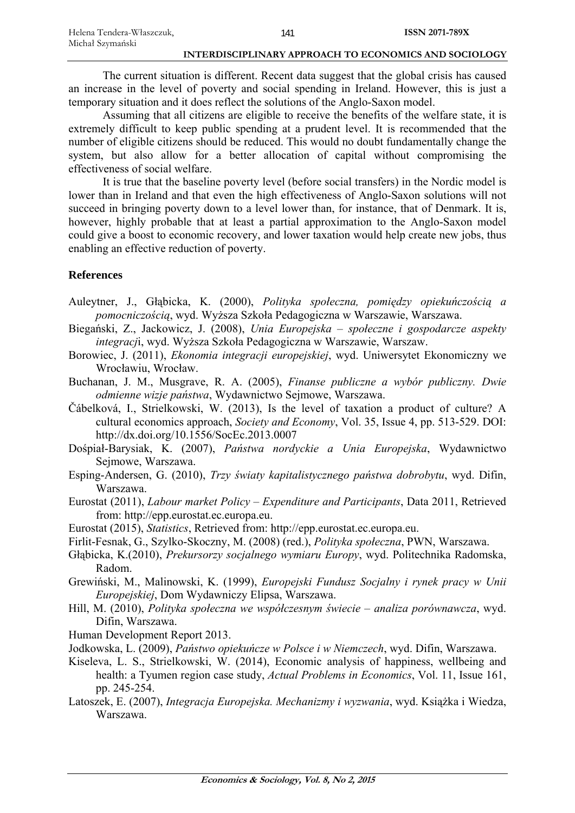The current situation is different. Recent data suggest that the global crisis has caused an increase in the level of poverty and social spending in Ireland. However, this is just a temporary situation and it does reflect the solutions of the Anglo-Saxon model.

Assuming that all citizens are eligible to receive the benefits of the welfare state, it is extremely difficult to keep public spending at a prudent level. It is recommended that the number of eligible citizens should be reduced. This would no doubt fundamentally change the system, but also allow for a better allocation of capital without compromising the effectiveness of social welfare.

It is true that the baseline poverty level (before social transfers) in the Nordic model is lower than in Ireland and that even the high effectiveness of Anglo-Saxon solutions will not succeed in bringing poverty down to a level lower than, for instance, that of Denmark. It is, however, highly probable that at least a partial approximation to the Anglo-Saxon model could give a boost to economic recovery, and lower taxation would help create new jobs, thus enabling an effective reduction of poverty.

# **References**

- Auleytner, J., Głąbicka, K. (2000), *Polityka społeczna, pomiędzy opiekuńczością a pomocniczością*, wyd. Wyższa Szkoła Pedagogiczna w Warszawie, Warszawa.
- Biegański, Z., Jackowicz, J. (2008), *Unia Europejska społeczne i gospodarcze aspekty integracj*i, wyd. Wyższa Szkoła Pedagogiczna w Warszawie, Warszaw.
- Borowiec, J. (2011), *Ekonomia integracji europejskiej*, wyd. Uniwersytet Ekonomiczny we Wrocławiu, Wrocław.
- Buchanan, J. M., Musgrave, R. A. (2005), *Finanse publiczne a wybór publiczny. Dwie odmienne wizje państwa*, Wydawnictwo Sejmowe, Warszawa.
- Čábelková, I., Strielkowski, W. (2013), Is the level of taxation a product of culture? A cultural economics approach, *Society and Economy*, Vol. 35, Issue 4, pp. 513-529. DOI: http://dx.doi.org/10.1556/SocEc.2013.0007
- Dośpiał-Barysiak, K. (2007), *Państwa nordyckie a Unia Europejska*, Wydawnictwo Sejmowe, Warszawa.
- Esping-Andersen, G. (2010), *Trzy światy kapitalistycznego państwa dobrobytu*, wyd. Difin, Warszawa.
- Eurostat (2011), *Labour market Policy Expenditure and Participants*, Data 2011, Retrieved from: http://epp.eurostat.ec.europa.eu.
- Eurostat (2015), *Statistics*, Retrieved from: http://epp.eurostat.ec.europa.eu.
- Firlit-Fesnak, G., Szylko-Skoczny, M. (2008) (red.), *Polityka społeczna*, PWN, Warszawa.
- Głąbicka, K.(2010), *Prekursorzy socjalnego wymiaru Europy*, wyd. Politechnika Radomska, Radom.

Grewiński, M., Malinowski, K. (1999), *Europejski Fundusz Socjalny i rynek pracy w Unii Europejskiej*, Dom Wydawniczy Elipsa, Warszawa.

- Hill, M. (2010), *Polityka społeczna we współczesnym świecie analiza porównawcza*, wyd. Difin, Warszawa.
- Human Development Report 2013.
- Jodkowska, L. (2009), *Państwo opiekuńcze w Polsce i w Niemczech*, wyd. Difin, Warszawa.
- Kiseleva, L. S., Strielkowski, W. (2014), Economic analysis of happiness, wellbeing and health: a Tyumen region case study, *Actual Problems in Economics*, Vol. 11, Issue 161, pp. 245-254.
- Latoszek, E. (2007), *Integracja Europejska. Mechanizmy i wyzwania*, wyd. Książka i Wiedza, Warszawa.